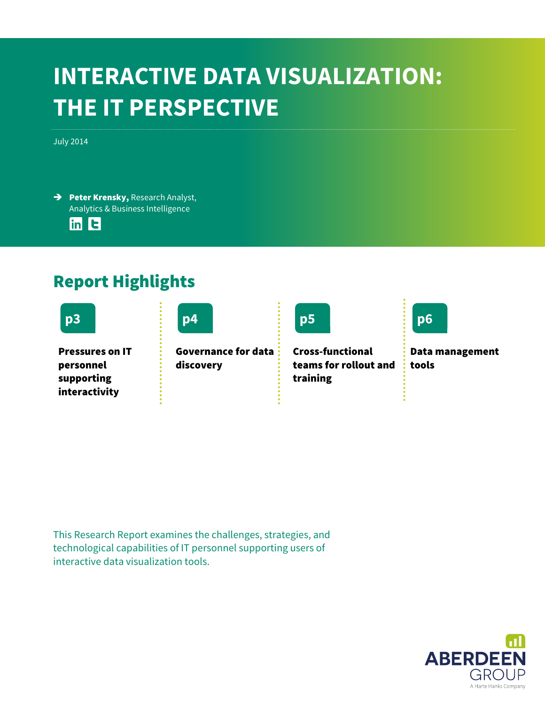### **INTERACTIVE DATA VISUALIZATION: THE IT PERSPECTIVE**

July 2014

→ Peter Krensky, Research Analyst, Analytics & Business Intelligence

 $\overline{\ln}$  E

### Report Highlights





Pressures on IT personnel supporting interactivity

Governance for data discovery



Cross-functional teams for rollout and training



Data management tools

This Research Report examines the challenges, strategies, and technological capabilities of IT personnel supporting users of interactive data visualization tools.

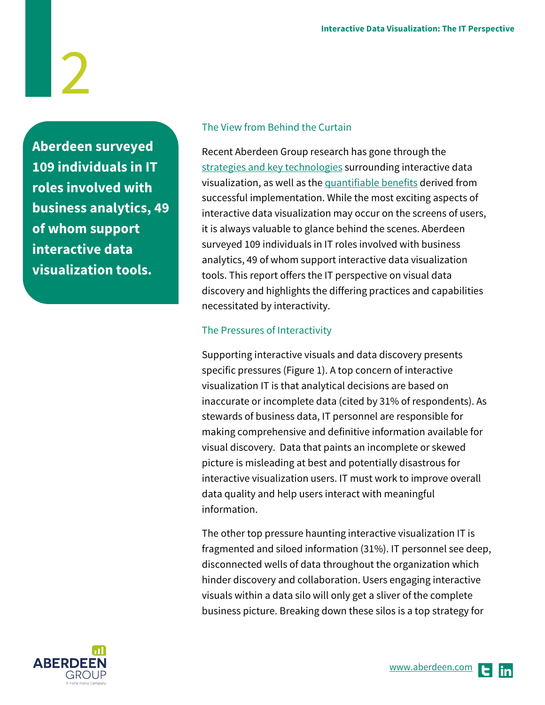**Aberdeen surveyed 109 individuals in IT roles involved with business analytics, 49 of whom support interactive data visualization tools.** 

### The View from Behind the Curtain

Recent Aberdeen Group research has gone through the [strategies and key technologies](http://www.aberdeen.com/Aberdeen-Library/8848/RA-interactive-data-visualization.aspx) surrounding interactive data visualization, as well as the [quantifiable benefits](http://aberdeen.com/Aberdeen-Library/8847/RR-interactive-data-visualization.aspx) derived from successful implementation. While the most exciting aspects of interactive data visualization may occur on the screens of users, it is always valuable to glance behind the scenes. Aberdeen surveyed 109 individuals in IT roles involved with business analytics, 49 of whom support interactive data visualization tools. This report offers the IT perspective on visual data discovery and highlights the differing practices and capabilities necessitated by interactivity.

### The Pressures of Interactivity

Supporting interactive visuals and data discovery presents specific pressures (Figure 1). A top concern of interactive visualization IT is that analytical decisions are based on inaccurate or incomplete data (cited by 31% of respondents). As stewards of business data, IT personnel are responsible for making comprehensive and definitive information available for visual discovery. Data that paints an incomplete or skewed picture is misleading at best and potentially disastrous for interactive visualization users. IT must work to improve overall data quality and help users interact with meaningful information.

The other top pressure haunting interactive visualization IT is fragmented and siloed information (31%). IT personnel see deep, disconnected wells of data throughout the organization which hinder discovery and collaboration. Users engaging interactive visuals within a data silo will only get a sliver of the complete business picture. Breaking down these silos is a top strategy for

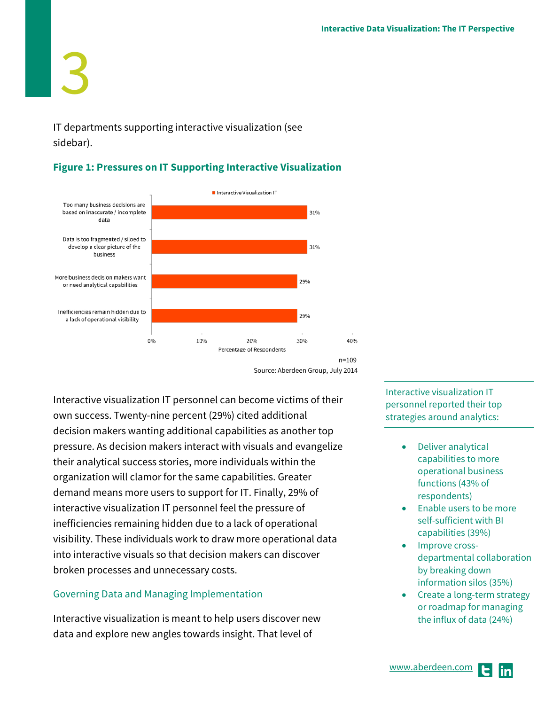3 IT departments supporting interactive visualization (see

sidebar).

### **Figure 1: Pressures on IT Supporting Interactive Visualization**



Source: Aberdeen Group, July 2014

Interactive visualization IT personnel can become victims of their own success. Twenty-nine percent (29%) cited additional decision makers wanting additional capabilities as another top pressure. As decision makers interact with visuals and evangelize their analytical success stories, more individuals within the organization will clamor for the same capabilities. Greater demand means more users to support for IT. Finally, 29% of interactive visualization IT personnel feel the pressure of inefficiencies remaining hidden due to a lack of operational visibility. These individuals work to draw more operational data into interactive visuals so that decision makers can discover broken processes and unnecessary costs.

### Governing Data and Managing Implementation

Interactive visualization is meant to help users discover new data and explore new angles towards insight. That level of

Interactive visualization IT personnel reported their top strategies around analytics:

- Deliver analytical capabilities to more operational business functions (43% of respondents)
- Enable users to be more self-sufficient with BI capabilities (39%)
- Improve crossdepartmental collaboration by breaking down information silos (35%)
- Create a long-term strategy or roadmap for managing the influx of data (24%)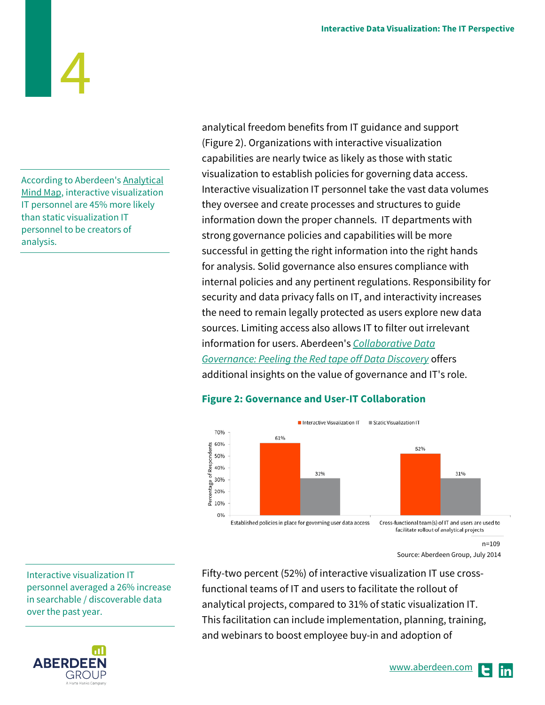According to Aberdeen'[s Analytical](http://www.aberdeen.com/Aberdeen-Library/8834/RR-analytical-mind-map.aspx)  [Mind Map,](http://www.aberdeen.com/Aberdeen-Library/8834/RR-analytical-mind-map.aspx) interactive visualization IT personnel are 45% more likely than static visualization IT personnel to be creators of analysis.

analytical freedom benefits from IT guidance and support (Figure 2). Organizations with interactive visualization capabilities are nearly twice as likely as those with static visualization to establish policies for governing data access. Interactive visualization IT personnel take the vast data volumes they oversee and create processes and structures to guide information down the proper channels. IT departments with strong governance policies and capabilities will be more successful in getting the right information into the right hands for analysis. Solid governance also ensures compliance with internal policies and any pertinent regulations. Responsibility for security and data privacy falls on IT, and interactivity increases the need to remain legally protected as users explore new data sources. Limiting access also allows IT to filter out irrelevant information for users. Aberdeen's *[Collaborative Data](http://www.aberdeen.com/Aberdeen-Library/9247/RR-collaborative-data-governance.aspx)  [Governance: Peeling the Red tape off Data Discovery](http://www.aberdeen.com/Aberdeen-Library/9247/RR-collaborative-data-governance.aspx)* offers additional insights on the value of governance and IT's role.

### **Figure 2: Governance and User-IT Collaboration**



 $n=109$ Source: Aberdeen Group, July 2014

Fifty-two percent (52%) of interactive visualization IT use crossfunctional teams of IT and users to facilitate the rollout of analytical projects, compared to 31% of static visualization IT. This facilitation can include implementation, planning, training, and webinars to boost employee buy-in and adoption of

Interactive visualization IT personnel averaged a 26% increase in searchable / discoverable data over the past year.

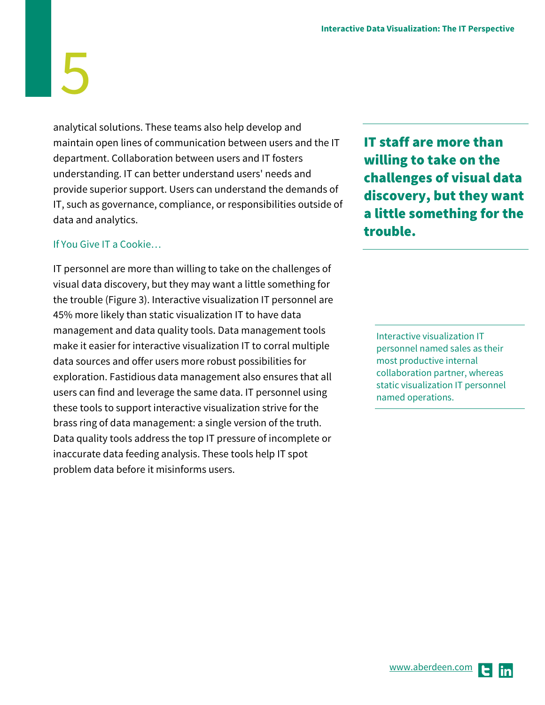analytical solutions. These teams also help develop and maintain open lines of communication between users and the IT department. Collaboration between users and IT fosters understanding. IT can better understand users' needs and provide superior support. Users can understand the demands of IT, such as governance, compliance, or responsibilities outside of data and analytics.

### If You Give IT a Cookie…

IT personnel are more than willing to take on the challenges of visual data discovery, but they may want a little something for the trouble (Figure 3). Interactive visualization IT personnel are 45% more likely than static visualization IT to have data management and data quality tools. Data management tools make it easier for interactive visualization IT to corral multiple data sources and offer users more robust possibilities for exploration. Fastidious data management also ensures that all users can find and leverage the same data. IT personnel using these tools to support interactive visualization strive for the brass ring of data management: a single version of the truth. Data quality tools address the top IT pressure of incomplete or inaccurate data feeding analysis. These tools help IT spot problem data before it misinforms users.

IT staff are more than willing to take on the challenges of visual data discovery, but they want a little something for the trouble.

Interactive visualization IT personnel named sales as their most productive internal collaboration partner, whereas static visualization IT personnel named operations.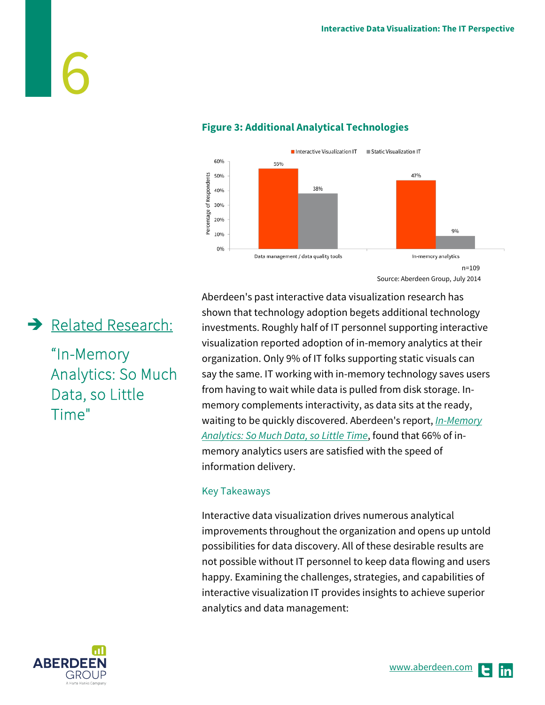

### **Figure 3: Additional Analytical Technologies**

Aberdeen's past interactive data visualization research has shown that technology adoption begets additional technology investments. Roughly half of IT personnel supporting interactive visualization reported adoption of in-memory analytics at their organization. Only 9% of IT folks supporting static visuals can say the same. IT working with in-memory technology saves users from having to wait while data is pulled from disk storage. Inmemory complements interactivity, as data sits at the ready, waiting to be quickly discovered. Aberdeen's report, *[In-Memory](http://www.aberdeen.com/Aberdeen-Library/9086/RR-InMemory-Analytics.aspx) [Analytics: So Much Data, so Little Time](http://www.aberdeen.com/Aberdeen-Library/9086/RR-InMemory-Analytics.aspx)*, found that 66% of inmemory analytics users are satisfied with the speed of information delivery.

#### Key Takeaways

Interactive data visualization drives numerous analytical improvements throughout the organization and opens up untold possibilities for data discovery. All of these desirable results are not possible without IT personnel to keep data flowing and users happy. Examining the challenges, strategies, and capabilities of interactive visualization IT provides insights to achieve superior analytics and data management:

### Related Research:

"In-Memory Analytics: So Much Data, so Little Time"

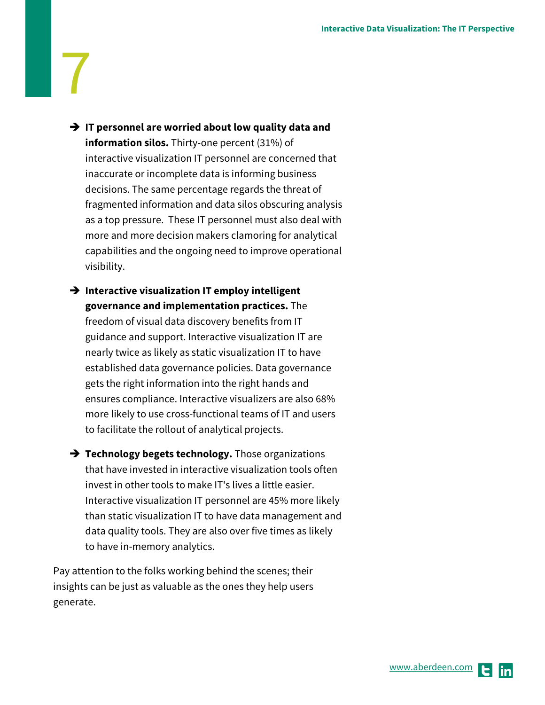- **→** IT personnel are worried about low quality data and **information silos.** Thirty-one percent (31%) of interactive visualization IT personnel are concerned that inaccurate or incomplete data is informing business decisions. The same percentage regards the threat of fragmented information and data silos obscuring analysis as a top pressure. These IT personnel must also deal with more and more decision makers clamoring for analytical capabilities and the ongoing need to improve operational visibility.
- **→** Interactive visualization IT employ intelligent **governance and implementation practices.** The freedom of visual data discovery benefits from IT guidance and support. Interactive visualization IT are nearly twice as likely as static visualization IT to have established data governance policies. Data governance gets the right information into the right hands and ensures compliance. Interactive visualizers are also 68% more likely to use cross-functional teams of IT and users to facilitate the rollout of analytical projects.
- **→ Technology begets technology.** Those organizations that have invested in interactive visualization tools often invest in other tools to make IT's lives a little easier. Interactive visualization IT personnel are 45% more likely than static visualization IT to have data management and data quality tools. They are also over five times as likely to have in-memory analytics.

Pay attention to the folks working behind the scenes; their insights can be just as valuable as the ones they help users generate.